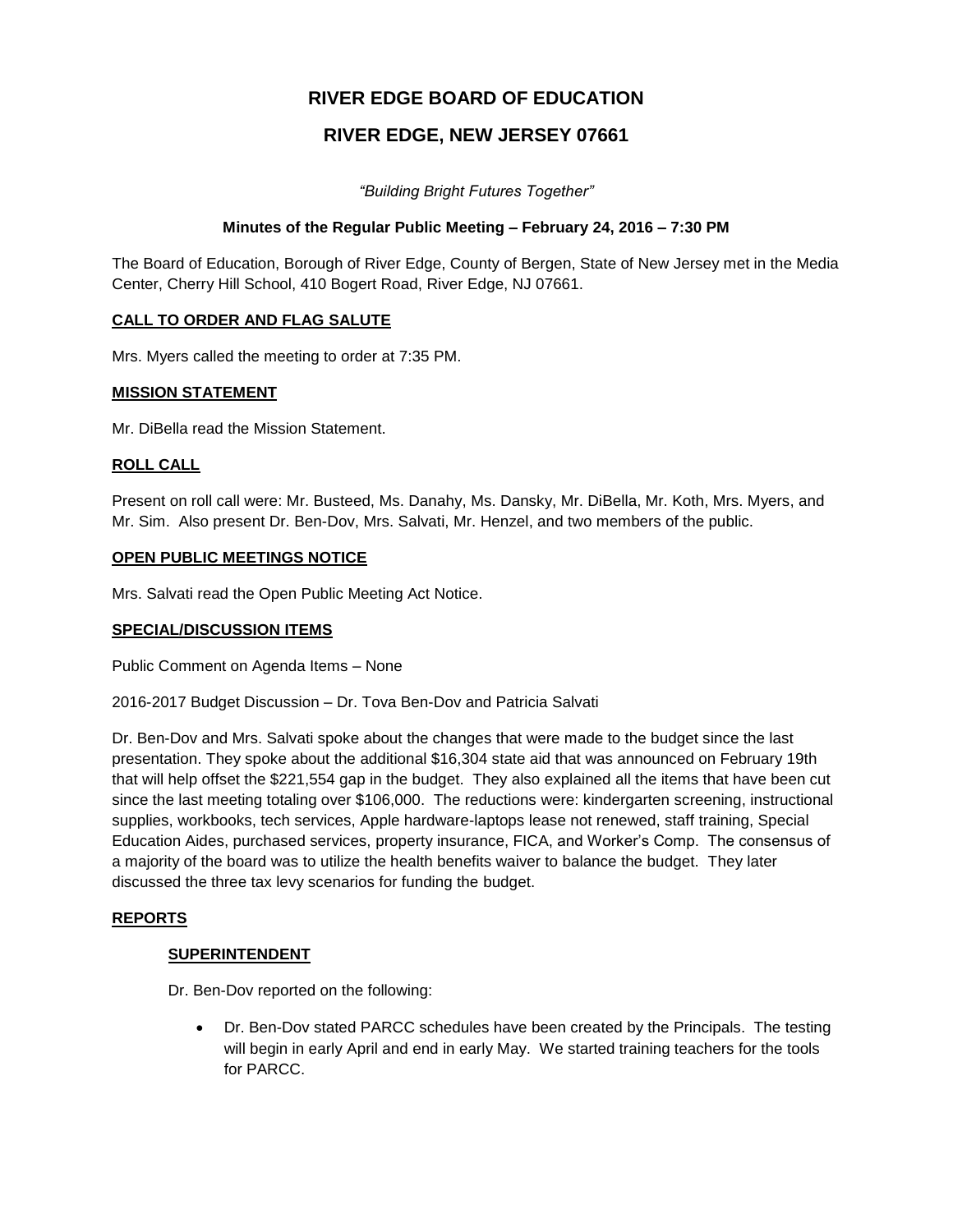# **RIVER EDGE BOARD OF EDUCATION**

# **RIVER EDGE, NEW JERSEY 07661**

*"Building Bright Futures Together"*

## **Minutes of the Regular Public Meeting – February 24, 2016 – 7:30 PM**

The Board of Education, Borough of River Edge, County of Bergen, State of New Jersey met in the Media Center, Cherry Hill School, 410 Bogert Road, River Edge, NJ 07661.

### **CALL TO ORDER AND FLAG SALUTE**

Mrs. Myers called the meeting to order at 7:35 PM.

### **MISSION STATEMENT**

Mr. DiBella read the Mission Statement.

### **ROLL CALL**

Present on roll call were: Mr. Busteed, Ms. Danahy, Ms. Dansky, Mr. DiBella, Mr. Koth, Mrs. Myers, and Mr. Sim. Also present Dr. Ben-Dov, Mrs. Salvati, Mr. Henzel, and two members of the public.

### **OPEN PUBLIC MEETINGS NOTICE**

Mrs. Salvati read the Open Public Meeting Act Notice.

#### **SPECIAL/DISCUSSION ITEMS**

Public Comment on Agenda Items – None

2016-2017 Budget Discussion – Dr. Tova Ben-Dov and Patricia Salvati

Dr. Ben-Dov and Mrs. Salvati spoke about the changes that were made to the budget since the last presentation. They spoke about the additional \$16,304 state aid that was announced on February 19th that will help offset the \$221,554 gap in the budget. They also explained all the items that have been cut since the last meeting totaling over \$106,000. The reductions were: kindergarten screening, instructional supplies, workbooks, tech services, Apple hardware-laptops lease not renewed, staff training, Special Education Aides, purchased services, property insurance, FICA, and Worker's Comp. The consensus of a majority of the board was to utilize the health benefits waiver to balance the budget. They later discussed the three tax levy scenarios for funding the budget.

# **REPORTS**

#### **SUPERINTENDENT**

Dr. Ben-Dov reported on the following:

 Dr. Ben-Dov stated PARCC schedules have been created by the Principals. The testing will begin in early April and end in early May. We started training teachers for the tools for PARCC.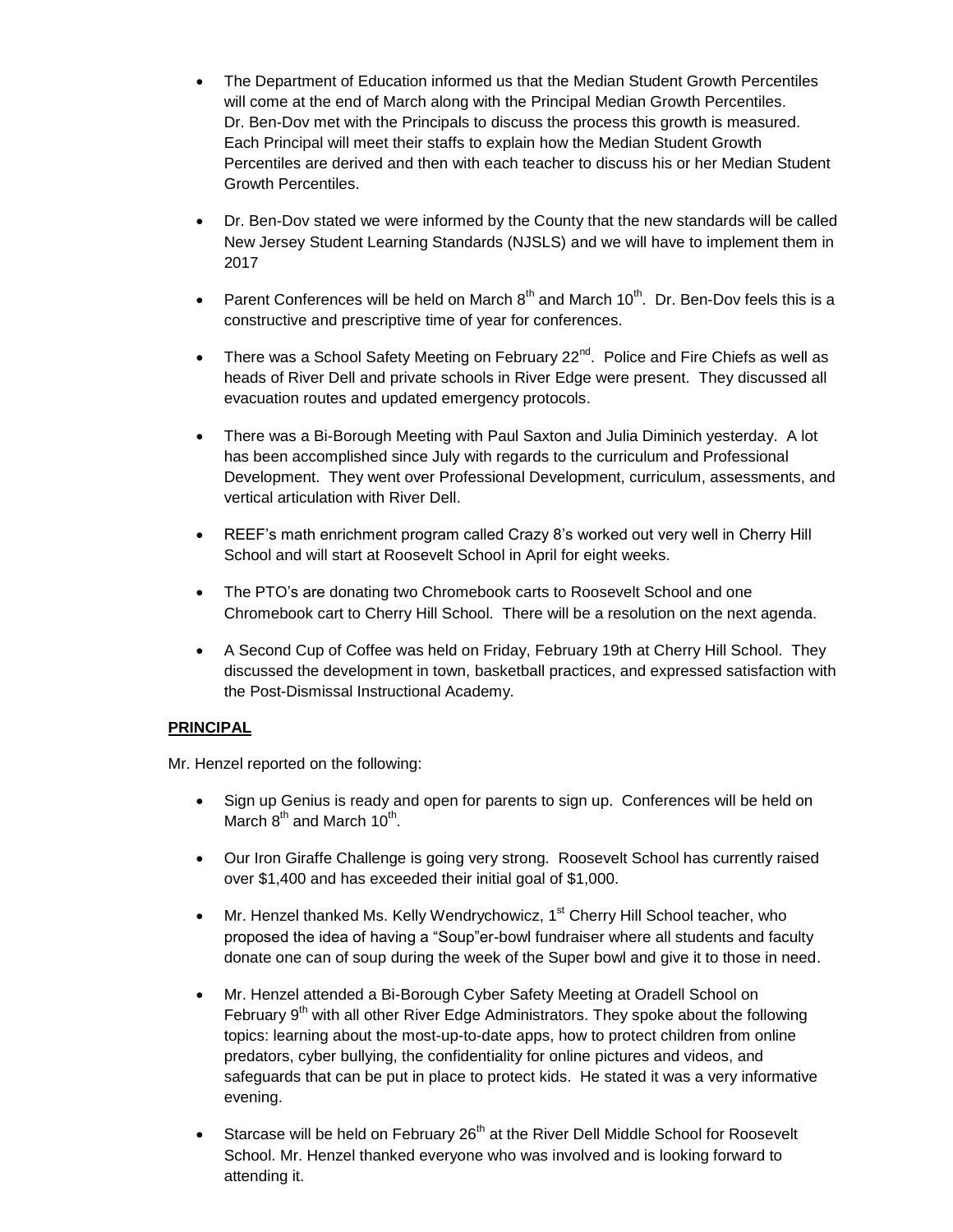- The Department of Education informed us that the Median Student Growth Percentiles will come at the end of March along with the Principal Median Growth Percentiles. Dr. Ben-Dov met with the Principals to discuss the process this growth is measured. Each Principal will meet their staffs to explain how the Median Student Growth Percentiles are derived and then with each teacher to discuss his or her Median Student Growth Percentiles.
- Dr. Ben-Dov stated we were informed by the County that the new standards will be called New Jersey Student Learning Standards (NJSLS) and we will have to implement them in 2017
- Parent Conferences will be held on March  $8<sup>th</sup>$  and March 10<sup>th</sup>. Dr. Ben-Dov feels this is a constructive and prescriptive time of year for conferences.
- There was a School Safety Meeting on February  $22^{nd}$ . Police and Fire Chiefs as well as heads of River Dell and private schools in River Edge were present. They discussed all evacuation routes and updated emergency protocols.
- There was a Bi-Borough Meeting with Paul Saxton and Julia Diminich yesterday. A lot has been accomplished since July with regards to the curriculum and Professional Development. They went over Professional Development, curriculum, assessments, and vertical articulation with River Dell.
- REEF's math enrichment program called Crazy 8's worked out very well in Cherry Hill School and will start at Roosevelt School in April for eight weeks.
- The PTO's are donating two Chromebook carts to Roosevelt School and one Chromebook cart to Cherry Hill School. There will be a resolution on the next agenda.
- A Second Cup of Coffee was held on Friday, February 19th at Cherry Hill School. They discussed the development in town, basketball practices, and expressed satisfaction with the Post-Dismissal Instructional Academy.

# **PRINCIPAL**

Mr. Henzel reported on the following:

- Sign up Genius is ready and open for parents to sign up. Conferences will be held on March  $8^{\text{th}}$  and March 10<sup>th</sup>.
- Our Iron Giraffe Challenge is going very strong. Roosevelt School has currently raised over \$1,400 and has exceeded their initial goal of \$1,000.
- $\bullet$  Mr. Henzel thanked Ms. Kelly Wendrychowicz, 1<sup>st</sup> Cherry Hill School teacher, who proposed the idea of having a "Soup"er-bowl fundraiser where all students and faculty donate one can of soup during the week of the Super bowl and give it to those in need.
- Mr. Henzel attended a Bi-Borough Cyber Safety Meeting at Oradell School on February  $9<sup>th</sup>$  with all other River Edge Administrators. They spoke about the following topics: learning about the most-up-to-date apps, how to protect children from online predators, cyber bullying, the confidentiality for online pictures and videos, and safeguards that can be put in place to protect kids. He stated it was a very informative evening.
- Starcase will be held on February  $26<sup>th</sup>$  at the River Dell Middle School for Roosevelt School. Mr. Henzel thanked everyone who was involved and is looking forward to attending it.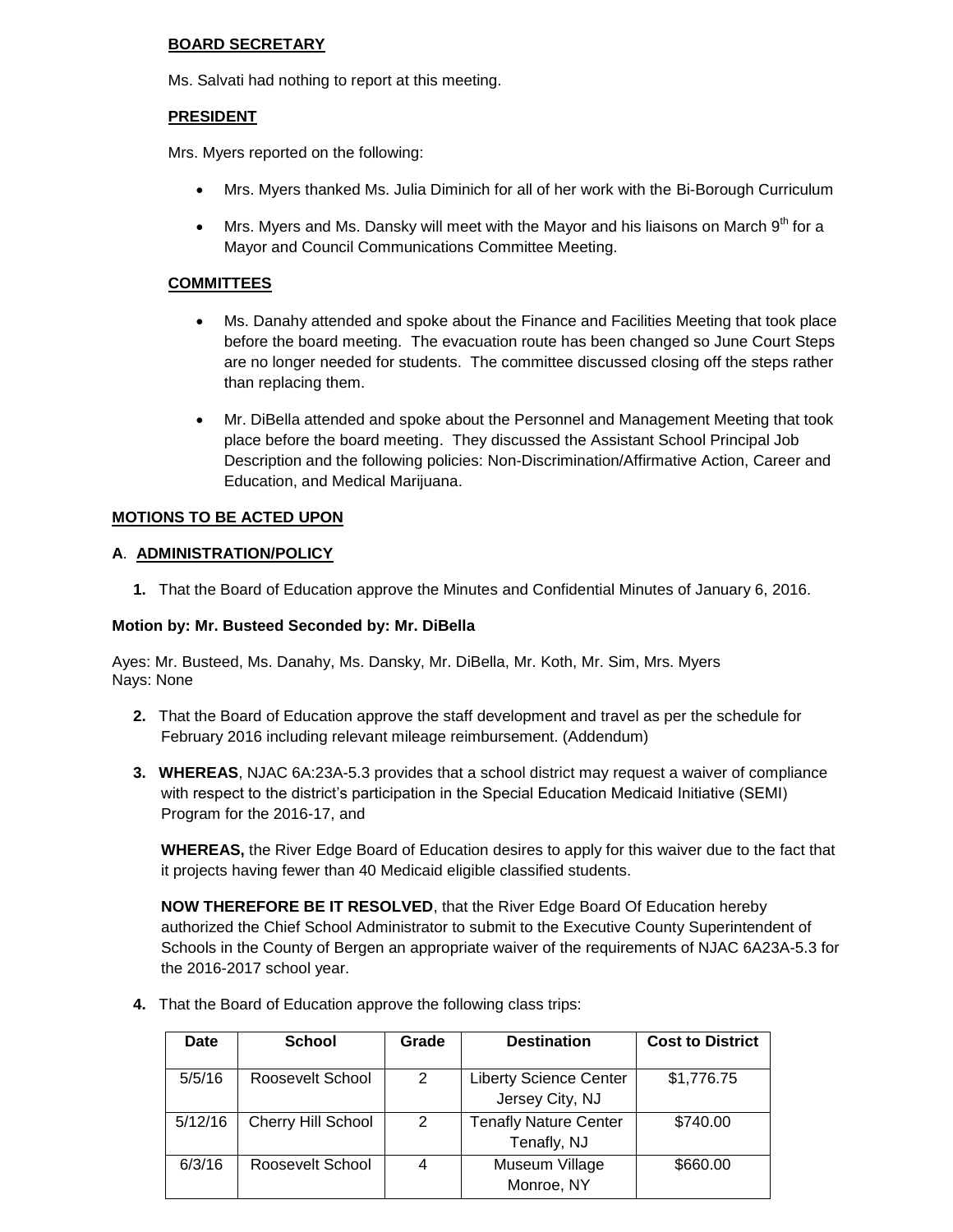# **BOARD SECRETARY**

Ms. Salvati had nothing to report at this meeting.

# **PRESIDENT**

Mrs. Myers reported on the following:

- Mrs. Myers thanked Ms. Julia Diminich for all of her work with the Bi-Borough Curriculum
- $\bullet$  Mrs. Myers and Ms. Dansky will meet with the Mayor and his liaisons on March  $9^{th}$  for a Mayor and Council Communications Committee Meeting.

## **COMMITTEES**

- Ms. Danahy attended and spoke about the Finance and Facilities Meeting that took place before the board meeting. The evacuation route has been changed so June Court Steps are no longer needed for students. The committee discussed closing off the steps rather than replacing them.
- Mr. DiBella attended and spoke about the Personnel and Management Meeting that took place before the board meeting. They discussed the Assistant School Principal Job Description and the following policies: Non-Discrimination/Affirmative Action, Career and Education, and Medical Marijuana.

# **MOTIONS TO BE ACTED UPON**

### **A**. **ADMINISTRATION/POLICY**

**1.** That the Board of Education approve the Minutes and Confidential Minutes of January 6, 2016.

#### **Motion by: Mr. Busteed Seconded by: Mr. DiBella**

Ayes: Mr. Busteed, Ms. Danahy, Ms. Dansky, Mr. DiBella, Mr. Koth, Mr. Sim, Mrs. Myers Nays: None

- **2.** That the Board of Education approve the staff development and travel as per the schedule for February 2016 including relevant mileage reimbursement. (Addendum)
- **3. WHEREAS**, NJAC 6A:23A-5.3 provides that a school district may request a waiver of compliance with respect to the district's participation in the Special Education Medicaid Initiative (SEMI) Program for the 2016-17, and

**WHEREAS,** the River Edge Board of Education desires to apply for this waiver due to the fact that it projects having fewer than 40 Medicaid eligible classified students.

**NOW THEREFORE BE IT RESOLVED**, that the River Edge Board Of Education hereby authorized the Chief School Administrator to submit to the Executive County Superintendent of Schools in the County of Bergen an appropriate waiver of the requirements of NJAC 6A23A-5.3 for the 2016-2017 school year.

**4.** That the Board of Education approve the following class trips:

| Date    | <b>School</b>      | Grade | <b>Destination</b>                               | <b>Cost to District</b> |
|---------|--------------------|-------|--------------------------------------------------|-------------------------|
| 5/5/16  | Roosevelt School   | 2     | <b>Liberty Science Center</b><br>Jersey City, NJ | \$1,776.75              |
| 5/12/16 | Cherry Hill School | 2     | <b>Tenafly Nature Center</b><br>Tenafly, NJ      | \$740.00                |
| 6/3/16  | Roosevelt School   |       | Museum Village<br>Monroe, NY                     | \$660.00                |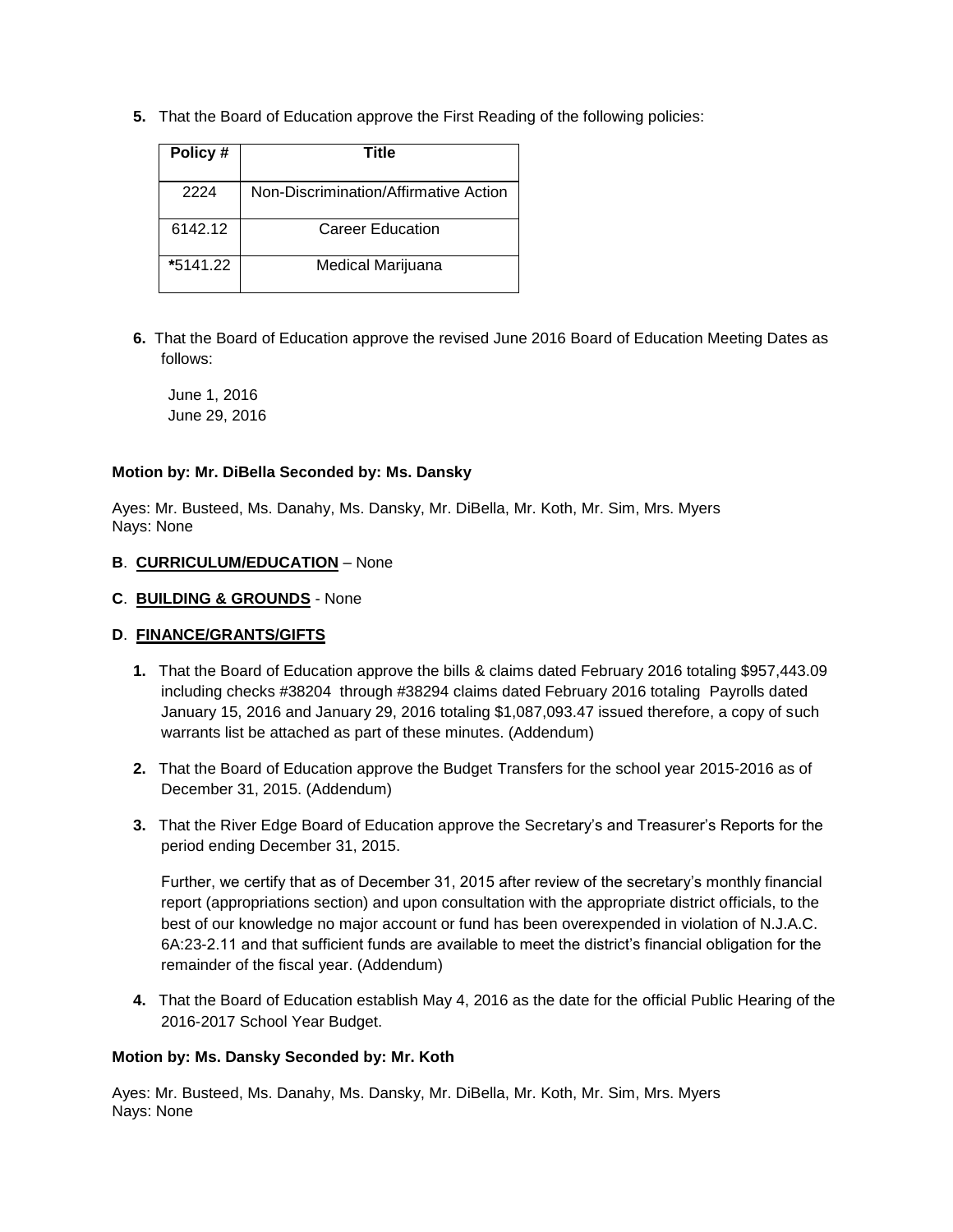**5.** That the Board of Education approve the First Reading of the following policies:

| Policy#  | Title                                 |
|----------|---------------------------------------|
| 2224     | Non-Discrimination/Affirmative Action |
| 6142.12  | Career Education                      |
| *5141.22 | Medical Marijuana                     |

**6.** That the Board of Education approve the revised June 2016 Board of Education Meeting Dates as follows:

June 1, 2016 June 29, 2016

#### **Motion by: Mr. DiBella Seconded by: Ms. Dansky**

Ayes: Mr. Busteed, Ms. Danahy, Ms. Dansky, Mr. DiBella, Mr. Koth, Mr. Sim, Mrs. Myers Nays: None

### **B**. **CURRICULUM/EDUCATION** – None

### **C**. **BUILDING & GROUNDS** - None

# **D**. **FINANCE/GRANTS/GIFTS**

- **1.** That the Board of Education approve the bills & claims dated February 2016 totaling \$957,443.09 including checks #38204 through #38294 claims dated February 2016 totaling Payrolls dated January 15, 2016 and January 29, 2016 totaling \$1,087,093.47 issued therefore, a copy of such warrants list be attached as part of these minutes. (Addendum)
- **2.** That the Board of Education approve the Budget Transfers for the school year 2015-2016 as of December 31, 2015. (Addendum)
- **3.** That the River Edge Board of Education approve the Secretary's and Treasurer's Reports for the period ending December 31, 2015.

Further, we certify that as of December 31, 2015 after review of the secretary's monthly financial report (appropriations section) and upon consultation with the appropriate district officials, to the best of our knowledge no major account or fund has been overexpended in violation of N.J.A.C. 6A:23-2.11 and that sufficient funds are available to meet the district's financial obligation for the remainder of the fiscal year. (Addendum)

**4.** That the Board of Education establish May 4, 2016 as the date for the official Public Hearing of the 2016-2017 School Year Budget.

# **Motion by: Ms. Dansky Seconded by: Mr. Koth**

Ayes: Mr. Busteed, Ms. Danahy, Ms. Dansky, Mr. DiBella, Mr. Koth, Mr. Sim, Mrs. Myers Nays: None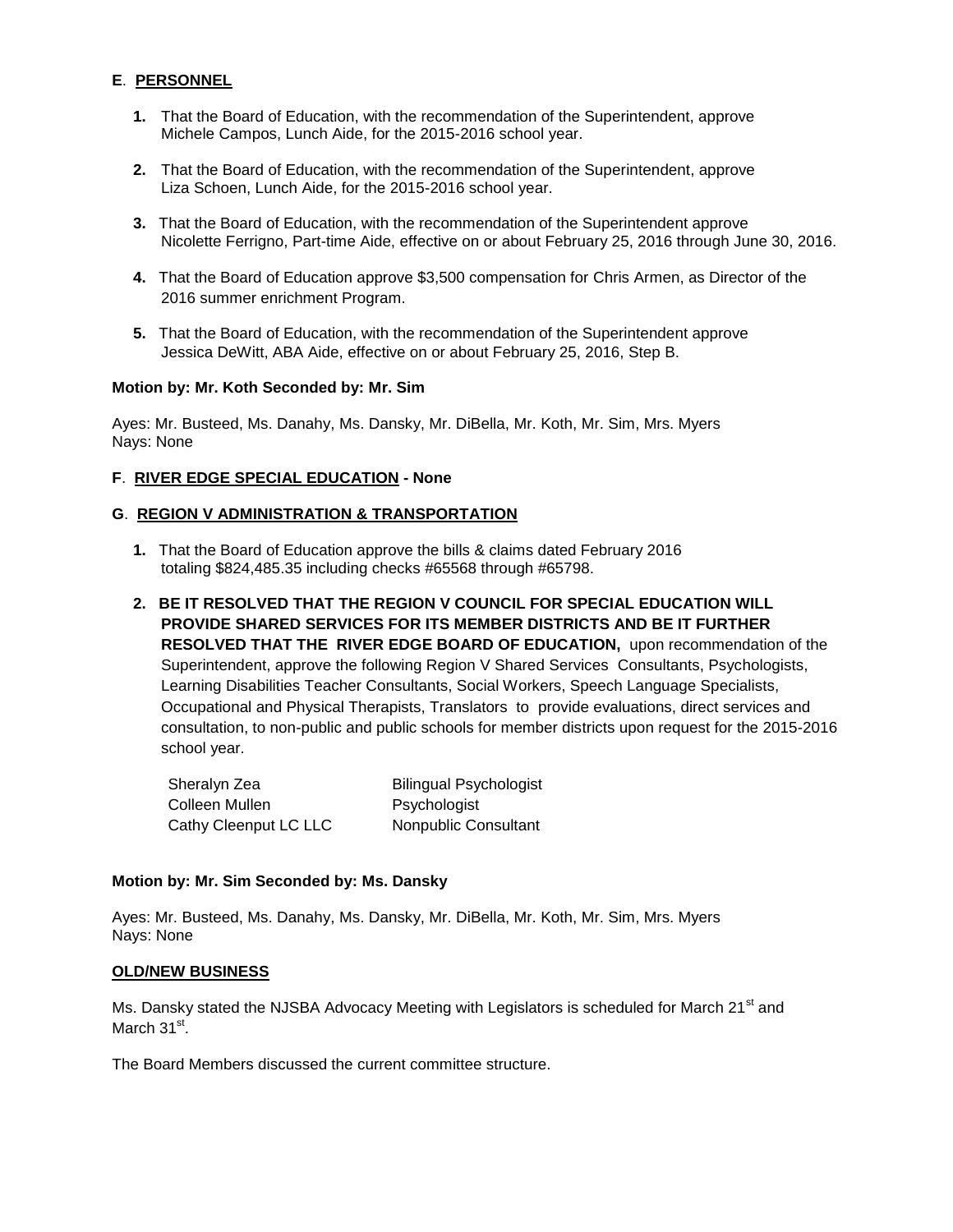# **E**. **PERSONNEL**

- **1.** That the Board of Education, with the recommendation of the Superintendent, approve Michele Campos, Lunch Aide, for the 2015-2016 school year.
- **2.** That the Board of Education, with the recommendation of the Superintendent, approve Liza Schoen, Lunch Aide, for the 2015-2016 school year.
- **3.** That the Board of Education, with the recommendation of the Superintendent approve Nicolette Ferrigno, Part-time Aide, effective on or about February 25, 2016 through June 30, 2016.
- **4.** That the Board of Education approve \$3,500 compensation for Chris Armen, as Director of the 2016 summer enrichment Program.
- **5.** That the Board of Education, with the recommendation of the Superintendent approve Jessica DeWitt, ABA Aide, effective on or about February 25, 2016, Step B.

#### **Motion by: Mr. Koth Seconded by: Mr. Sim**

Ayes: Mr. Busteed, Ms. Danahy, Ms. Dansky, Mr. DiBella, Mr. Koth, Mr. Sim, Mrs. Myers Nays: None

### **F**. **RIVER EDGE SPECIAL EDUCATION - None**

### **G**. **REGION V ADMINISTRATION & TRANSPORTATION**

- **1.** That the Board of Education approve the bills & claims dated February 2016 totaling \$824,485.35 including checks #65568 through #65798.
- **2. BE IT RESOLVED THAT THE REGION V COUNCIL FOR SPECIAL EDUCATION WILL PROVIDE SHARED SERVICES FOR ITS MEMBER DISTRICTS AND BE IT FURTHER RESOLVED THAT THE RIVER EDGE BOARD OF EDUCATION,** upon recommendation of the Superintendent, approve the following Region V Shared Services Consultants, Psychologists, Learning Disabilities Teacher Consultants, Social Workers, Speech Language Specialists, Occupational and Physical Therapists, Translators to provide evaluations, direct services and consultation, to non-public and public schools for member districts upon request for the 2015-2016 school year.

| Sheralyn Zea          | <b>Bilingual Psychologist</b> |
|-----------------------|-------------------------------|
| Colleen Mullen        | Psychologist                  |
| Cathy Cleenput LC LLC | Nonpublic Consultant          |

#### **Motion by: Mr. Sim Seconded by: Ms. Dansky**

Ayes: Mr. Busteed, Ms. Danahy, Ms. Dansky, Mr. DiBella, Mr. Koth, Mr. Sim, Mrs. Myers Nays: None

#### **OLD/NEW BUSINESS**

Ms. Dansky stated the NJSBA Advocacy Meeting with Legislators is scheduled for March 21<sup>st</sup> and March 31<sup>st</sup>.

The Board Members discussed the current committee structure.